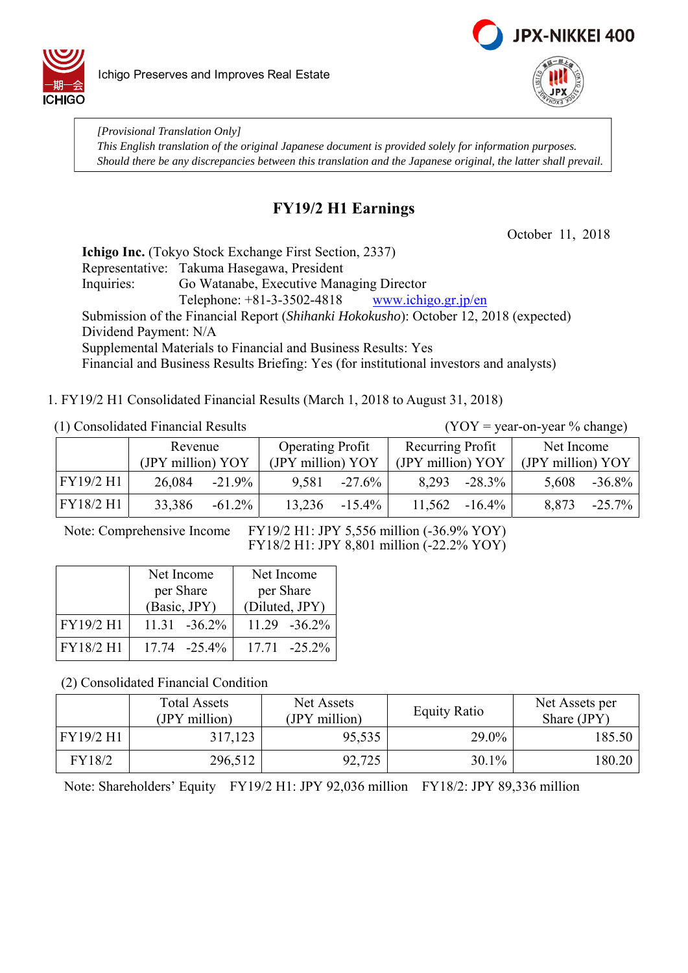



*[Provisional Translation Only] This English translation of the original Japanese document is provided solely for information purposes. Should there be any discrepancies between this translation and the Japanese original, the latter shall prevail.*

# **FY19/2 H1 Earnings**

October 11, 2018

**Ichigo Inc.** (Tokyo Stock Exchange First Section, 2337) Representative: Takuma Hasegawa, President Inquiries: Go Watanabe, Executive Managing Director Telephone:  $+81-3-3502-4818$  www.ichigo.gr.jp/en Submission of the Financial Report (*Shihanki Hokokusho*): October 12, 2018 (expected) Dividend Payment: N/A Supplemental Materials to Financial and Business Results: Yes Financial and Business Results Briefing: Yes (for institutional investors and analysts)

1. FY19/2 H1 Consolidated Financial Results (March 1, 2018 to August 31, 2018)

(1) Consolidated Financial Results (YOY = year-on-year % change)

|           | Revenue           |           | <b>Operating Profit</b> |           | Recurring Profit  |           | Net Income        |           |
|-----------|-------------------|-----------|-------------------------|-----------|-------------------|-----------|-------------------|-----------|
|           | (JPY million) YOY |           | (JPY million) YOY       |           | (JPY million) YOY |           | (JPY million) YOY |           |
| FY19/2 H1 | 26,084            | $-21.9\%$ | 9,581                   | $-27.6\%$ | 8,293             | $-28.3\%$ | 5,608             | $-36.8\%$ |
| FY18/2 H1 | 33,386            | $-61.2\%$ | 13,236                  | $-15.4\%$ | 11,562            | $-16.4\%$ | 8,873             | $-25.7\%$ |

Note: Comprehensive Income FY19/2 H1: JPY 5,556 million (-36.9% YOY) FY18/2 H1: JPY 8,801 million (-22.2% YOY)

|           | Net Income       | Net Income       |
|-----------|------------------|------------------|
|           | per Share        | per Share        |
|           | (Basic, JPY)     | (Diluted, JPY)   |
| FY19/2 H1 | $11.31 - 36.2\%$ | $11.29 - 36.2\%$ |
| FY18/2 H1 | 17.74 -25.4%     | 17.71 -25.2%     |

(2) Consolidated Financial Condition

|           | <b>Total Assets</b><br>(JPY million) | Net Assets<br>(JPY million) | <b>Equity Ratio</b> | Net Assets per<br>Share (JPY) |
|-----------|--------------------------------------|-----------------------------|---------------------|-------------------------------|
| FY19/2 H1 | 317,123                              | 95,535                      | 29.0%               | 185.50                        |
| FY18/2    | 296,512                              | 92,725                      | 30.1%               | 180.20                        |

Note: Shareholders' Equity FY19/2 H1: JPY 92,036 million FY18/2: JPY 89,336 million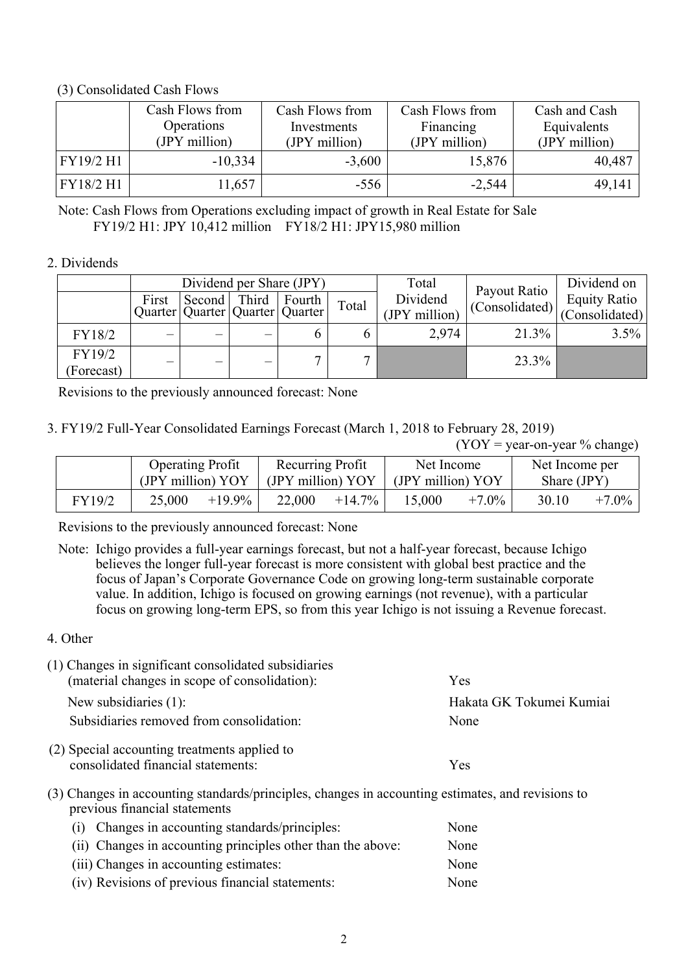### (3) Consolidated Cash Flows

|           | Cash Flows from<br>Operations | Cash Flows from<br>Investments | Cash Flows from<br>Financing | Cash and Cash<br>Equivalents |
|-----------|-------------------------------|--------------------------------|------------------------------|------------------------------|
|           | (JPY million)                 | (JPY million)                  | (JPY million)                | (JPY million)                |
| FY19/2 H1 | $-10,334$                     | $-3,600$                       | 15,876                       | 40,487                       |
| FY18/2 H1 | 11,657                        | $-556$                         | $-2,544$                     | 49,141                       |

Note: Cash Flows from Operations excluding impact of growth in Real Estate for Sale FY19/2 H1: JPY 10,412 million FY18/2 H1: JPY15,980 million

### 2. Dividends

|                      |       | Dividend per Share (JPY)                        |       |        |       | Total                     |                                | Dividend on                           |
|----------------------|-------|-------------------------------------------------|-------|--------|-------|---------------------------|--------------------------------|---------------------------------------|
|                      | First | Second<br>Quarter   Quarter   Quarter   Quarter | Third | Fourth | Total | Dividend<br>(JPY million) | Payout Ratio<br>(Consolidated) | <b>Equity Ratio</b><br>(Consolidated) |
| FY18/2               |       |                                                 |       |        |       | 2,974                     | 21.3%                          | 3.5%                                  |
| FY19/2<br>(Forecast) |       | —                                               | -     |        |       |                           | 23.3%                          |                                       |

Revisions to the previously announced forecast: None

3. FY19/2 Full-Year Consolidated Earnings Forecast (March 1, 2018 to February 28, 2019)

 $(YOY = year-on-year % change)$ 

|        | <b>Operating Profit</b><br>(JPY million) YOY |           | Recurring Profit<br>(JPY million) YOY |           | Net Income<br>(JPY million) YOY |          | Net Income per<br>Share (JPY) |          |
|--------|----------------------------------------------|-----------|---------------------------------------|-----------|---------------------------------|----------|-------------------------------|----------|
| FY19/2 | 25,000                                       | $+19.9\%$ | 22,000                                | $+14.7\%$ | 15,000                          | $+7.0\%$ | 30.10                         | $+7.0\%$ |

Revisions to the previously announced forecast: None

- Note: Ichigo provides a full-year earnings forecast, but not a half-year forecast, because Ichigo believes the longer full-year forecast is more consistent with global best practice and the focus of Japan's Corporate Governance Code on growing long-term sustainable corporate value. In addition, Ichigo is focused on growing earnings (not revenue), with a particular focus on growing long-term EPS, so from this year Ichigo is not issuing a Revenue forecast.
- 4. Other

| (1) Changes in significant consolidated subsidiaries<br>(material changes in scope of consolidation):                                                                                                                         | <b>Yes</b>               |
|-------------------------------------------------------------------------------------------------------------------------------------------------------------------------------------------------------------------------------|--------------------------|
| New subsidiaries $(1)$ :                                                                                                                                                                                                      | Hakata GK Tokumei Kumiai |
| Subsidiaries removed from consolidation:                                                                                                                                                                                      | None                     |
| (2) Special accounting treatments applied to                                                                                                                                                                                  |                          |
| consolidated financial statements:                                                                                                                                                                                            | <b>Yes</b>               |
| $(2)$ $(3)$ $(1)$ $(2)$ $(3)$ $(4)$ $(5)$ $(1)$ $(1)$ $(1)$ $(1)$ $(1)$ $(1)$ $(1)$ $(1)$ $(1)$ $(1)$ $(1)$ $(1)$ $(1)$ $(1)$ $(1)$ $(1)$ $(1)$ $(1)$ $(1)$ $(1)$ $(1)$ $(1)$ $(1)$ $(1)$ $(1)$ $(1)$ $(1)$ $(1)$ $(1)$ $(1)$ |                          |

(3) Changes in accounting standards/principles, changes in accounting estimates, and revisions to previous financial statements

| (i) Changes in accounting standards/principles:             | None |
|-------------------------------------------------------------|------|
| (ii) Changes in accounting principles other than the above: | None |
| (iii) Changes in accounting estimates:                      | None |
| (iv) Revisions of previous financial statements:            | None |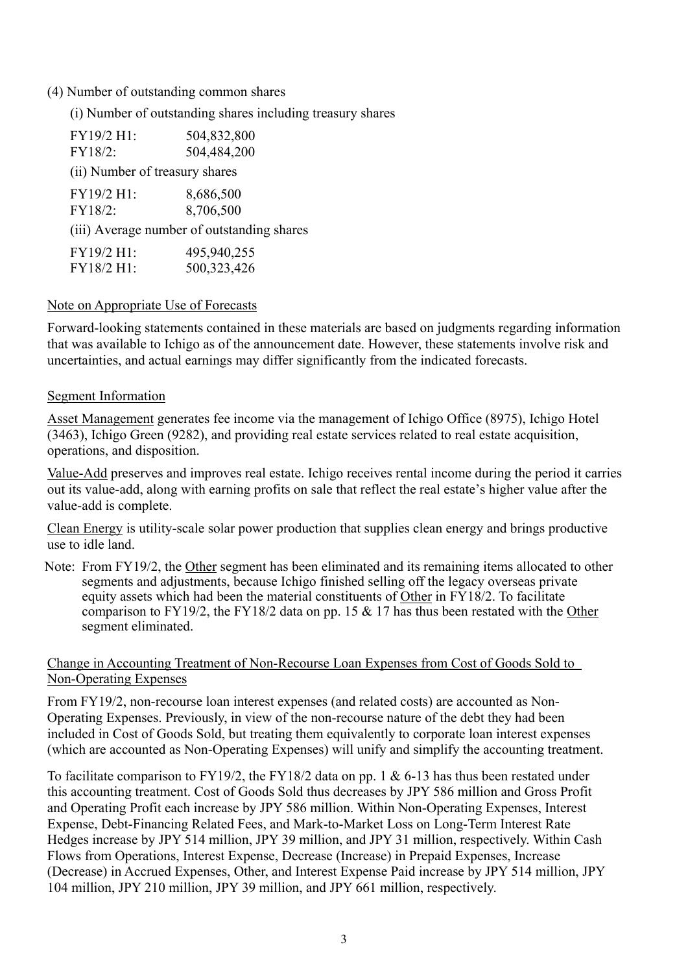### (4) Number of outstanding common shares

(i) Number of outstanding shares including treasury shares

| FY19/2 H1:                     | 504,832,800                                |
|--------------------------------|--------------------------------------------|
| FY18/2:                        | 504,484,200                                |
| (ii) Number of treasury shares |                                            |
| FY19/2 H1:                     | 8,686,500                                  |
| FY18/2:                        | 8,706,500                                  |
|                                | (iii) Average number of outstanding shares |
| FY19/2 H1:                     | 495,940,255                                |
| FY18/2 H1:                     | 500,323,426                                |

### Note on Appropriate Use of Forecasts

Forward-looking statements contained in these materials are based on judgments regarding information that was available to Ichigo as of the announcement date. However, these statements involve risk and uncertainties, and actual earnings may differ significantly from the indicated forecasts.

#### Segment Information

Asset Management generates fee income via the management of Ichigo Office (8975), Ichigo Hotel (3463), Ichigo Green (9282), and providing real estate services related to real estate acquisition, operations, and disposition.

Value-Add preserves and improves real estate. Ichigo receives rental income during the period it carries out its value-add, along with earning profits on sale that reflect the real estate's higher value after the value-add is complete.

Clean Energy is utility-scale solar power production that supplies clean energy and brings productive use to idle land.

Note: From FY19/2, the Other segment has been eliminated and its remaining items allocated to other segments and adjustments, because Ichigo finished selling off the legacy overseas private equity assets which had been the material constituents of Other in FY18/2. To facilitate comparison to FY19/2, the FY18/2 data on pp. 15  $&$  17 has thus been restated with the Other segment eliminated.

### Change in Accounting Treatment of Non-Recourse Loan Expenses from Cost of Goods Sold to Non-Operating Expenses

From FY19/2, non-recourse loan interest expenses (and related costs) are accounted as Non-Operating Expenses. Previously, in view of the non-recourse nature of the debt they had been included in Cost of Goods Sold, but treating them equivalently to corporate loan interest expenses (which are accounted as Non-Operating Expenses) will unify and simplify the accounting treatment.

To facilitate comparison to FY19/2, the FY18/2 data on pp. 1 & 6-13 has thus been restated under this accounting treatment. Cost of Goods Sold thus decreases by JPY 586 million and Gross Profit and Operating Profit each increase by JPY 586 million. Within Non-Operating Expenses, Interest Expense, Debt-Financing Related Fees, and Mark-to-Market Loss on Long-Term Interest Rate Hedges increase by JPY 514 million, JPY 39 million, and JPY 31 million, respectively. Within Cash Flows from Operations, Interest Expense, Decrease (Increase) in Prepaid Expenses, Increase (Decrease) in Accrued Expenses, Other, and Interest Expense Paid increase by JPY 514 million, JPY 104 million, JPY 210 million, JPY 39 million, and JPY 661 million, respectively.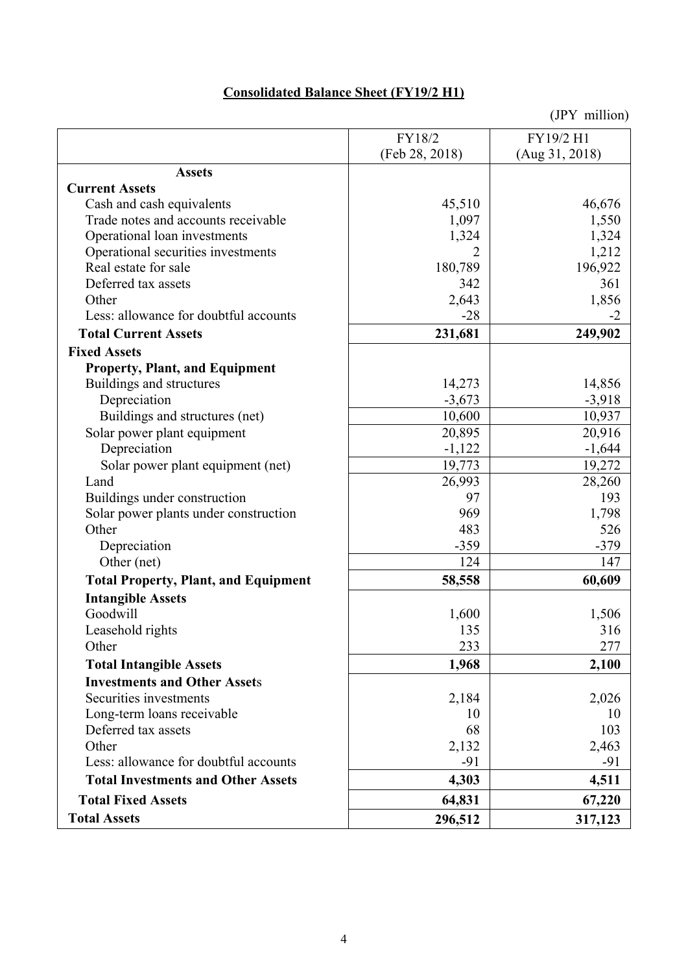# **Consolidated Balance Sheet (FY19/2 H1)**

|                                             | FY18/2         | FY19/2 H1      |
|---------------------------------------------|----------------|----------------|
|                                             | (Feb 28, 2018) | (Aug 31, 2018) |
| <b>Assets</b>                               |                |                |
| <b>Current Assets</b>                       |                |                |
| Cash and cash equivalents                   | 45,510         | 46,676         |
| Trade notes and accounts receivable         | 1,097          | 1,550          |
| Operational loan investments                | 1,324          | 1,324          |
| Operational securities investments          | 2              | 1,212          |
| Real estate for sale                        | 180,789        | 196,922        |
| Deferred tax assets                         | 342            | 361            |
| Other                                       | 2,643          | 1,856          |
| Less: allowance for doubtful accounts       | $-28$          | $-2$           |
| <b>Total Current Assets</b>                 | 231,681        | 249,902        |
| <b>Fixed Assets</b>                         |                |                |
| <b>Property, Plant, and Equipment</b>       |                |                |
| Buildings and structures                    | 14,273         | 14,856         |
| Depreciation                                | $-3,673$       | $-3,918$       |
| Buildings and structures (net)              | 10,600         | 10,937         |
| Solar power plant equipment                 | 20,895         | 20,916         |
| Depreciation                                | $-1,122$       | $-1,644$       |
| Solar power plant equipment (net)           | 19,773         | 19,272         |
| Land                                        | 26,993         | 28,260         |
| Buildings under construction                | 97             | 193            |
| Solar power plants under construction       | 969            | 1,798          |
| Other                                       | 483            | 526            |
| Depreciation                                | $-359$         | $-379$         |
| Other (net)                                 | 124            | 147            |
| <b>Total Property, Plant, and Equipment</b> | 58,558         | 60,609         |
| <b>Intangible Assets</b>                    |                |                |
| Goodwill                                    | 1,600          | 1,506          |
| Leasehold rights                            | 135            | 316            |
| Other                                       | 233            | 277            |
| <b>Total Intangible Assets</b>              | 1,968          | 2,100          |
| <b>Investments and Other Assets</b>         |                |                |
| Securities investments                      | 2,184          | 2,026          |
| Long-term loans receivable                  | 10             | 10             |
| Deferred tax assets                         | 68             | 103            |
| Other                                       | 2,132          | 2,463          |
| Less: allowance for doubtful accounts       | -91            | $-91$          |
| <b>Total Investments and Other Assets</b>   | 4,303          | 4,511          |
| <b>Total Fixed Assets</b>                   | 64,831         | 67,220         |
| <b>Total Assets</b>                         | 296,512        | 317,123        |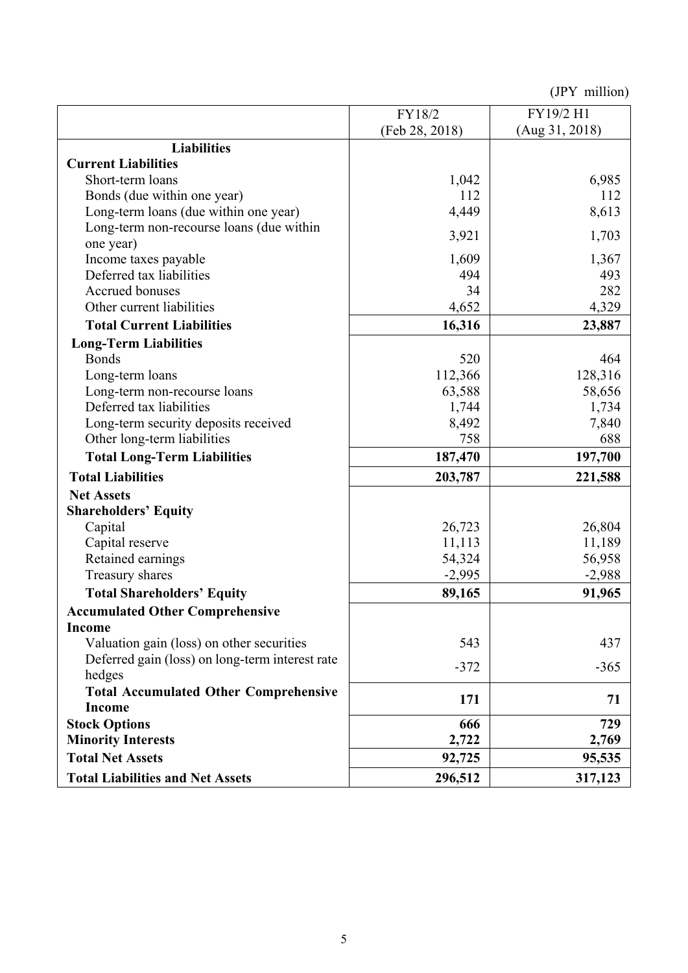|                                                 | FY18/2         | FY19/2 H1      |
|-------------------------------------------------|----------------|----------------|
|                                                 | (Feb 28, 2018) | (Aug 31, 2018) |
| <b>Liabilities</b>                              |                |                |
| <b>Current Liabilities</b>                      |                |                |
| Short-term loans                                | 1,042          | 6,985          |
| Bonds (due within one year)                     | 112            | 112            |
| Long-term loans (due within one year)           | 4,449          | 8,613          |
| Long-term non-recourse loans (due within        | 3,921          | 1,703          |
| one year)                                       |                |                |
| Income taxes payable                            | 1,609          | 1,367          |
| Deferred tax liabilities                        | 494            | 493            |
| Accrued bonuses                                 | 34             | 282            |
| Other current liabilities                       | 4,652          | 4,329          |
| <b>Total Current Liabilities</b>                | 16,316         | 23,887         |
| <b>Long-Term Liabilities</b>                    |                |                |
| <b>Bonds</b>                                    | 520            | 464            |
| Long-term loans                                 | 112,366        | 128,316        |
| Long-term non-recourse loans                    | 63,588         | 58,656         |
| Deferred tax liabilities                        | 1,744          | 1,734          |
| Long-term security deposits received            | 8,492          | 7,840          |
| Other long-term liabilities                     | 758            | 688            |
| <b>Total Long-Term Liabilities</b>              | 187,470        | 197,700        |
| <b>Total Liabilities</b>                        | 203,787        | 221,588        |
| <b>Net Assets</b>                               |                |                |
| <b>Shareholders' Equity</b>                     |                |                |
| Capital                                         | 26,723         | 26,804         |
| Capital reserve                                 | 11,113         | 11,189         |
| Retained earnings                               | 54,324         | 56,958         |
| Treasury shares                                 | $-2,995$       | $-2,988$       |
| <b>Total Shareholders' Equity</b>               | 89,165         | 91,965         |
| <b>Accumulated Other Comprehensive</b>          |                |                |
| <b>Income</b>                                   |                |                |
| Valuation gain (loss) on other securities       | 543            | 437            |
| Deferred gain (loss) on long-term interest rate | $-372$         | $-365$         |
| hedges                                          |                |                |
| <b>Total Accumulated Other Comprehensive</b>    | 171            | 71             |
| <b>Income</b>                                   |                |                |
| <b>Stock Options</b>                            | 666            | 729            |
| <b>Minority Interests</b>                       | 2,722          | 2,769          |
| <b>Total Net Assets</b>                         | 92,725         | 95,535         |
| <b>Total Liabilities and Net Assets</b>         | 296,512        | 317,123        |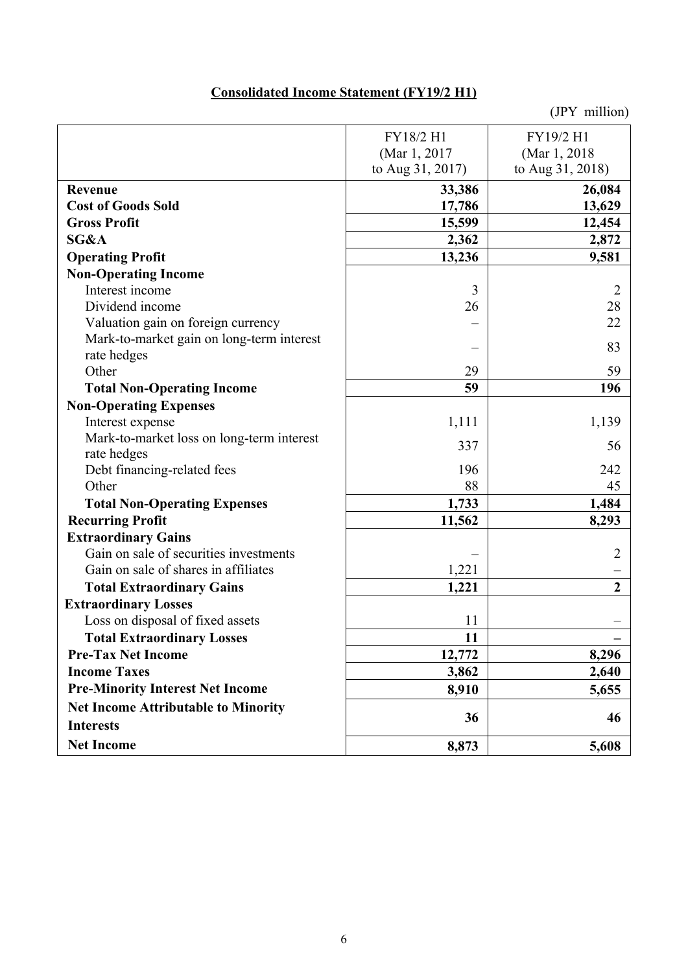# **Consolidated Income Statement (FY19/2 H1)**

|                                            | FY18/2 H1        | FY19/2 H1        |
|--------------------------------------------|------------------|------------------|
|                                            | (Mar 1, 2017     | (Mar 1, 2018)    |
|                                            | to Aug 31, 2017) | to Aug 31, 2018) |
| Revenue                                    | 33,386           | 26,084           |
| <b>Cost of Goods Sold</b>                  | 17,786           | 13,629           |
| <b>Gross Profit</b>                        | 15,599           | 12,454           |
| SG&A                                       | 2,362            | 2,872            |
| <b>Operating Profit</b>                    | 13,236           | 9,581            |
| <b>Non-Operating Income</b>                |                  |                  |
| Interest income                            | 3                | $\overline{2}$   |
| Dividend income                            | 26               | 28               |
| Valuation gain on foreign currency         |                  | 22               |
| Mark-to-market gain on long-term interest  |                  | 83               |
| rate hedges                                |                  |                  |
| Other                                      | 29               | 59               |
| <b>Total Non-Operating Income</b>          | 59               | 196              |
| <b>Non-Operating Expenses</b>              |                  |                  |
| Interest expense                           | 1,111            | 1,139            |
| Mark-to-market loss on long-term interest  | 337              | 56               |
| rate hedges                                |                  |                  |
| Debt financing-related fees                | 196              | 242              |
| Other                                      | 88               | 45               |
| <b>Total Non-Operating Expenses</b>        | 1,733            | 1,484            |
| <b>Recurring Profit</b>                    | 11,562           | 8,293            |
| <b>Extraordinary Gains</b>                 |                  |                  |
| Gain on sale of securities investments     |                  | $\overline{2}$   |
| Gain on sale of shares in affiliates       | 1,221            |                  |
| <b>Total Extraordinary Gains</b>           | 1,221            | $\overline{2}$   |
| <b>Extraordinary Losses</b>                |                  |                  |
| Loss on disposal of fixed assets           | 11               |                  |
| <b>Total Extraordinary Losses</b>          | 11               |                  |
| <b>Pre-Tax Net Income</b>                  | 12,772           | 8,296            |
| <b>Income Taxes</b>                        | 3,862            | 2,640            |
| <b>Pre-Minority Interest Net Income</b>    | 8,910            | 5,655            |
| <b>Net Income Attributable to Minority</b> |                  |                  |
| <b>Interests</b>                           | 36               | 46               |
| <b>Net Income</b>                          | 8,873            | 5,608            |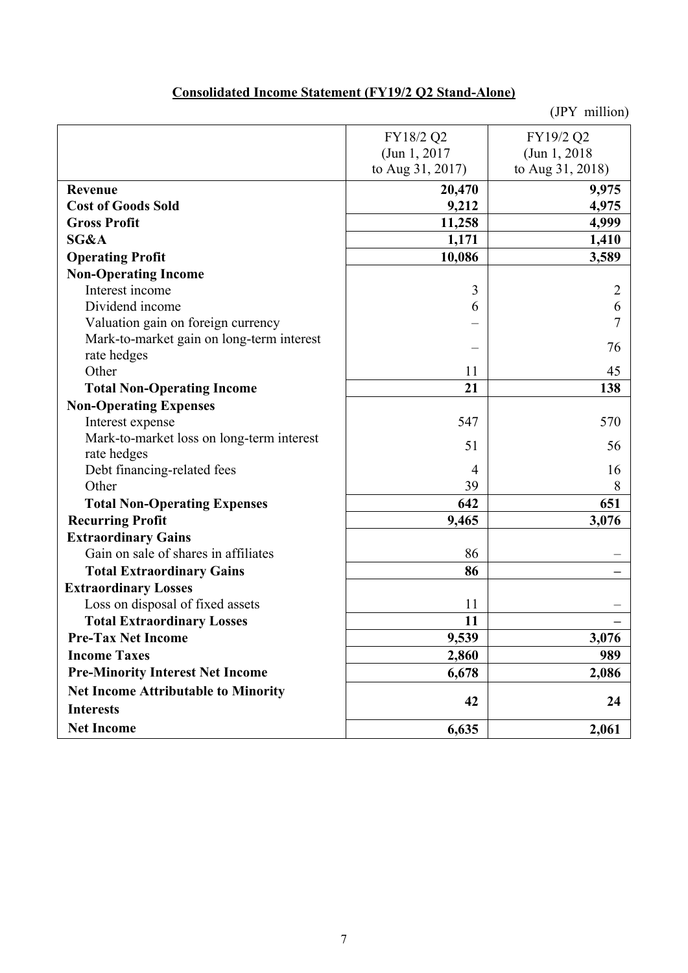### (JPY million) FY18/2 Q2 (Jun 1, 2017 to Aug 31, 2017) FY19/2 Q2 (Jun 1, 2018 to Aug 31, 2018) **Revenue** 20,470 9,975 Cost of Goods Sold 4,975 **Gross Profit 4,999 11,258 11,258 11,258 11,258 11,258 11,258 11,258 11,258 11,258 11,258 11,258 11,258 11,258 11,258 11,258 11,258 11,258 11,258 11,258 11,258 11,258 11,258 1 SG&A** 1,171 1,410 **Operating Profit** 10,086 3,589 **Non-Operating Income**  Interest income  $\begin{array}{ccc} 3 & 3 \\ 2 & 3 \end{array}$ Dividend income 6 6 Valuation gain on foreign currency – 7 Mark-to-market gain on long-term interest rate hedges  $76$ <br>rate hedges  $76$ Other  $11$  45 Total Non-Operating Income 21 21 **Non-Operating Expenses**  Interest expense 547 570 Mark-to-market loss on long-term interest  $\begin{bmatrix}\n \text{max-to-market loss on long-term interest} \\
\text{rate hedges}\n \end{bmatrix}$  56 Debt financing-related fees 16 Other 39 8 Total Non-Operating Expenses 642 **651 Recurring Profit 3,076 3,076 Extraordinary Gains**  Gain on sale of shares in affiliates 86 Total Extraordinary Gains **86** – **86** – **86** – **86** – **86** – **86** – **86** – **86** – **86** – **86** – **86** – **86** – **86** – **86** – **86** – **86** – **86** – **86** – **86** – **86** – **86** – **86** – **86** – **86** – **86** – **86** – **86** – **86** – **Extraordinary Losses**  Loss on disposal of fixed assets 11 Total Extraordinary Losses 11 and 2008 and 2008 and 2008 and 2008 and 2008 and 2008 and 2008 and 2008 and 2008 and 2008 and 2008 and 2008 and 2008 and 2008 and 2008 and 2008 and 2008 and 2008 and 2008 and 2008 and 2008 and **Pre-Tax Net Income 3,076 9,539** 3,076 **Income Taxes** 2,860 989 **Pre-Minority Interest Net Income 6,678 | 2,086 Net Income Attributable to Minority Interests and <b>12 24 1 Net Income 2,061 6,635 2,061**

## **Consolidated Income Statement (FY19/2 Q2 Stand-Alone)**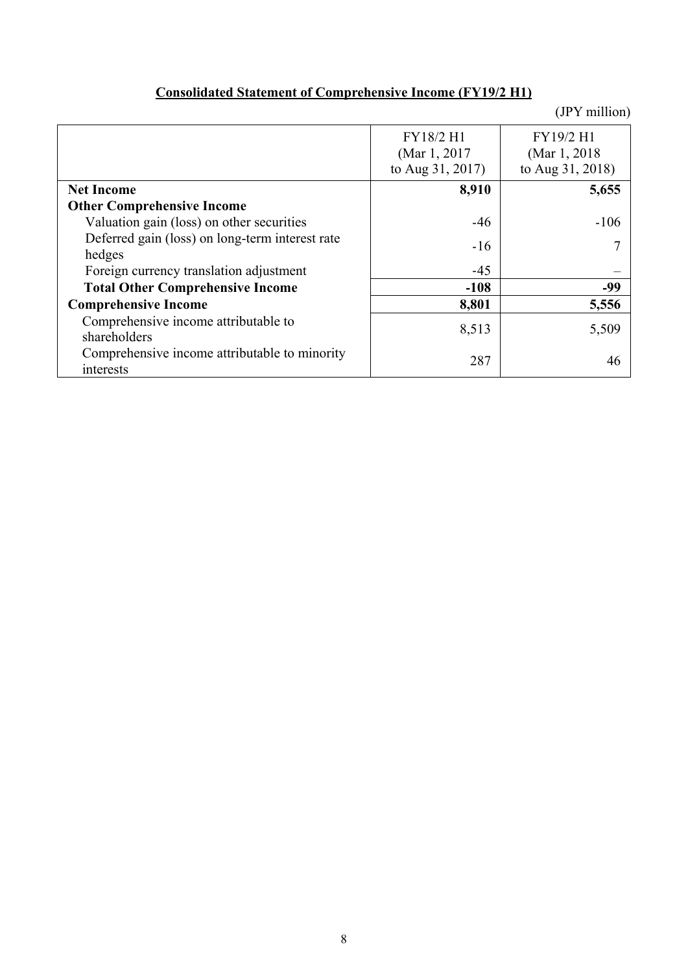# **Consolidated Statement of Comprehensive Income (FY19/2 H1)**

|                                                            | FY18/2 H1<br>(Mar 1, 2017)<br>to Aug 31, 2017) | FY19/2 H1<br>(Mar 1, 2018)<br>to Aug 31, 2018) |
|------------------------------------------------------------|------------------------------------------------|------------------------------------------------|
| <b>Net Income</b>                                          | 8,910                                          | 5,655                                          |
| <b>Other Comprehensive Income</b>                          |                                                |                                                |
| Valuation gain (loss) on other securities                  | $-46$                                          | $-106$                                         |
| Deferred gain (loss) on long-term interest rate            | $-16$                                          |                                                |
| hedges                                                     |                                                |                                                |
| Foreign currency translation adjustment                    | $-45$                                          |                                                |
| <b>Total Other Comprehensive Income</b>                    | $-108$                                         | -99                                            |
| <b>Comprehensive Income</b>                                | 8,801                                          | 5,556                                          |
| Comprehensive income attributable to<br>shareholders       | 8,513                                          | 5,509                                          |
| Comprehensive income attributable to minority<br>interests | 287                                            | 46                                             |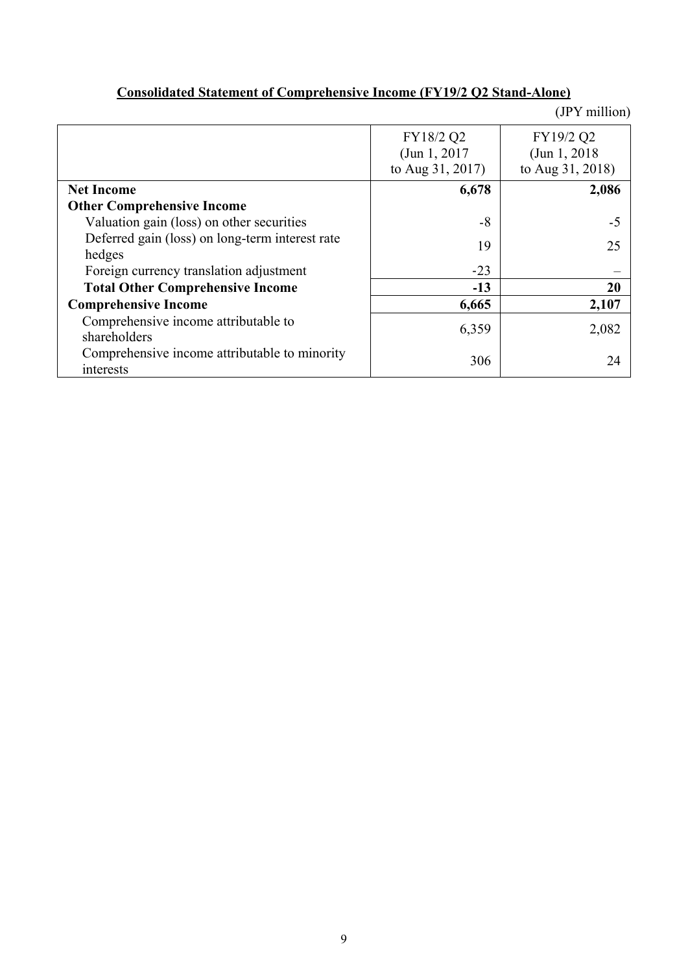|                                                 |                  | (JPY million)    |
|-------------------------------------------------|------------------|------------------|
|                                                 | FY18/2 Q2        | FY19/2 Q2        |
|                                                 | (Jun 1, 2017)    | (Jun 1, 2018)    |
|                                                 | to Aug 31, 2017) | to Aug 31, 2018) |
| <b>Net Income</b>                               | 6,678            | 2,086            |
| <b>Other Comprehensive Income</b>               |                  |                  |
| Valuation gain (loss) on other securities       | $-8$             | -5               |
| Deferred gain (loss) on long-term interest rate | 19               | 25               |
| hedges                                          |                  |                  |
| Foreign currency translation adjustment         | $-23$            |                  |
| <b>Total Other Comprehensive Income</b>         | $-13$            | 20               |
| <b>Comprehensive Income</b>                     | 6,665            | 2,107            |
| Comprehensive income attributable to            | 6,359            | 2,082            |
| shareholders                                    |                  |                  |
| Comprehensive income attributable to minority   | 306              | 24               |
| interests                                       |                  |                  |

# **Consolidated Statement of Comprehensive Income (FY19/2 Q2 Stand-Alone)**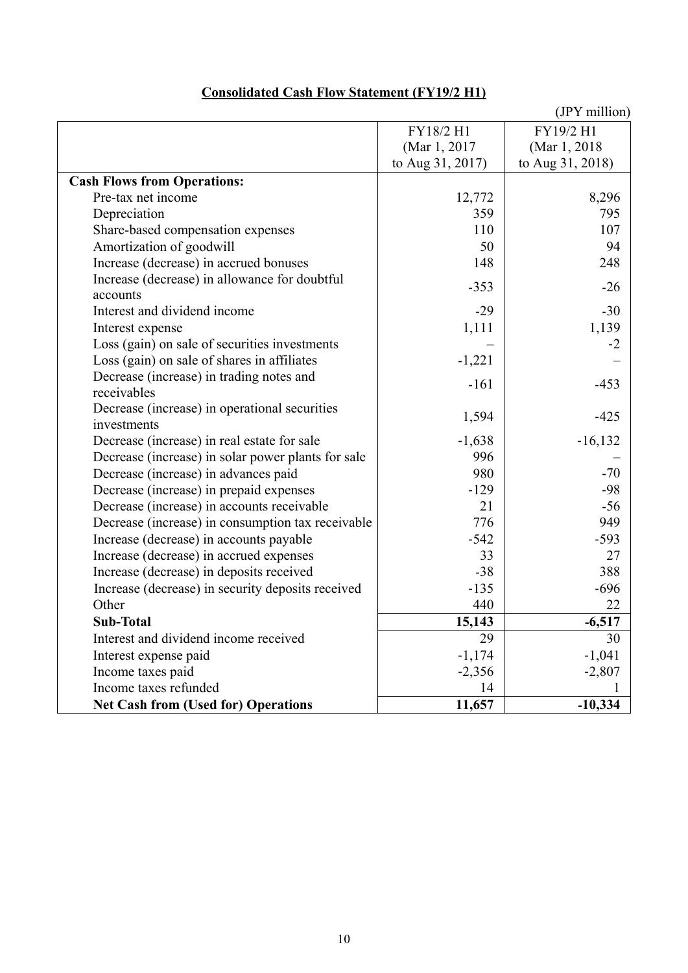|                                                    |                  | (JPY million)    |
|----------------------------------------------------|------------------|------------------|
|                                                    | FY18/2 H1        | FY19/2 H1        |
|                                                    | (Mar 1, 2017)    | (Mar 1, 2018)    |
|                                                    | to Aug 31, 2017) | to Aug 31, 2018) |
| <b>Cash Flows from Operations:</b>                 |                  |                  |
| Pre-tax net income                                 | 12,772           | 8,296            |
| Depreciation                                       | 359              | 795              |
| Share-based compensation expenses                  | 110              | 107              |
| Amortization of goodwill                           | 50               | 94               |
| Increase (decrease) in accrued bonuses             | 148              | 248              |
| Increase (decrease) in allowance for doubtful      | $-353$           | $-26$            |
| accounts                                           |                  |                  |
| Interest and dividend income                       | $-29$            | $-30$            |
| Interest expense                                   | 1,111            | 1,139            |
| Loss (gain) on sale of securities investments      |                  | $-2$             |
| Loss (gain) on sale of shares in affiliates        | $-1,221$         |                  |
| Decrease (increase) in trading notes and           | $-161$           | $-453$           |
| receivables                                        |                  |                  |
| Decrease (increase) in operational securities      | 1,594            | $-425$           |
| investments                                        |                  |                  |
| Decrease (increase) in real estate for sale        | $-1,638$         | $-16,132$        |
| Decrease (increase) in solar power plants for sale | 996              |                  |
| Decrease (increase) in advances paid               | 980              | $-70$            |
| Decrease (increase) in prepaid expenses            | $-129$           | $-98$            |
| Decrease (increase) in accounts receivable         | 21               | $-56$            |
| Decrease (increase) in consumption tax receivable  | 776              | 949              |
| Increase (decrease) in accounts payable            | $-542$           | $-593$           |
| Increase (decrease) in accrued expenses            | 33               | 27               |
| Increase (decrease) in deposits received           | $-38$            | 388              |
| Increase (decrease) in security deposits received  | $-135$           | $-696$           |
| Other                                              | 440              | 22               |
| Sub-Total                                          | 15,143           | $-6,517$         |
| Interest and dividend income received              | 29               | 30               |
| Interest expense paid                              | $-1,174$         | $-1,041$         |
| Income taxes paid                                  | $-2,356$         | $-2,807$         |
| Income taxes refunded                              | 14               |                  |
| <b>Net Cash from (Used for) Operations</b>         | 11,657           | $-10,334$        |

## **Consolidated Cash Flow Statement (FY19/2 H1)**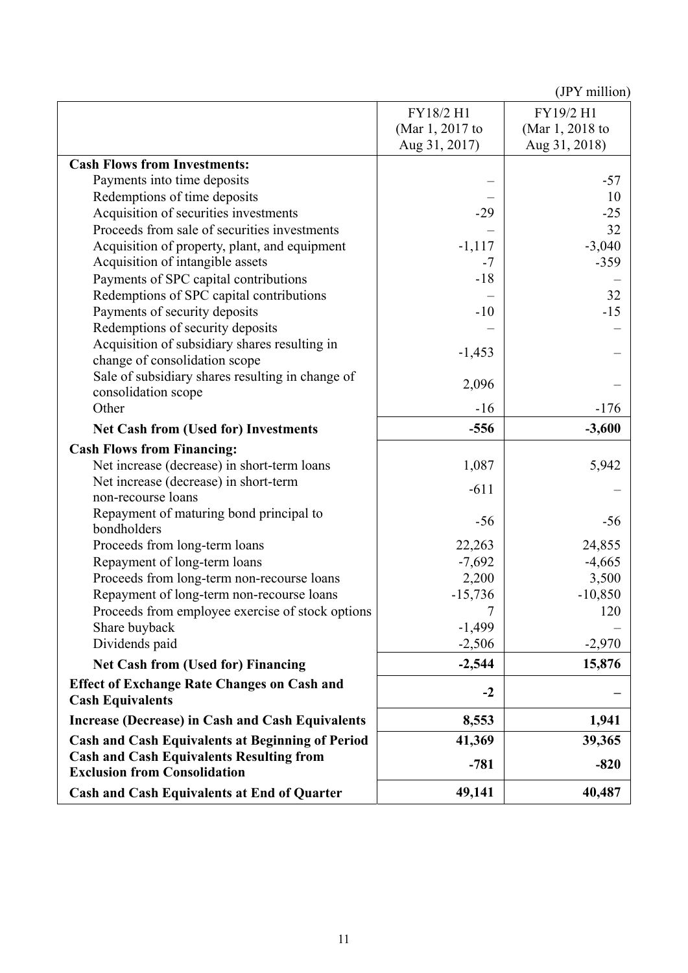|                                                         |                 | $\mathbf{v}$ . There is |
|---------------------------------------------------------|-----------------|-------------------------|
|                                                         | FY18/2 H1       | FY19/2 H1               |
|                                                         | (Mar 1, 2017 to | (Mar 1, 2018 to         |
|                                                         | Aug 31, 2017)   | Aug 31, 2018)           |
| <b>Cash Flows from Investments:</b>                     |                 |                         |
| Payments into time deposits                             |                 | $-57$                   |
| Redemptions of time deposits                            |                 | 10                      |
| Acquisition of securities investments                   | $-29$           | $-25$                   |
| Proceeds from sale of securities investments            |                 | 32                      |
| Acquisition of property, plant, and equipment           | $-1,117$        | $-3,040$                |
| Acquisition of intangible assets                        | $-7$            | $-359$                  |
| Payments of SPC capital contributions                   | $-18$           |                         |
| Redemptions of SPC capital contributions                |                 | 32                      |
| Payments of security deposits                           | $-10$           | $-15$                   |
| Redemptions of security deposits                        |                 |                         |
| Acquisition of subsidiary shares resulting in           | $-1,453$        |                         |
| change of consolidation scope                           |                 |                         |
| Sale of subsidiary shares resulting in change of        | 2,096           |                         |
| consolidation scope                                     |                 |                         |
| Other                                                   | $-16$           | $-176$                  |
| <b>Net Cash from (Used for) Investments</b>             | $-556$          | $-3,600$                |
| <b>Cash Flows from Financing:</b>                       |                 |                         |
| Net increase (decrease) in short-term loans             | 1,087           | 5,942                   |
| Net increase (decrease) in short-term                   | $-611$          |                         |
| non-recourse loans                                      |                 |                         |
| Repayment of maturing bond principal to                 | $-56$           | $-56$                   |
| bondholders                                             |                 |                         |
| Proceeds from long-term loans                           | 22,263          | 24,855                  |
| Repayment of long-term loans                            | $-7,692$        | $-4,665$                |
| Proceeds from long-term non-recourse loans              | 2,200           | 3,500                   |
| Repayment of long-term non-recourse loans               | $-15,736$       | $-10,850$               |
| Proceeds from employee exercise of stock options        |                 | 120                     |
| Share buyback                                           | $-1,499$        |                         |
| Dividends paid                                          | $-2,506$        | $-2,970$                |
| <b>Net Cash from (Used for) Financing</b>               | $-2,544$        | 15,876                  |
| <b>Effect of Exchange Rate Changes on Cash and</b>      | $-2$            |                         |
| <b>Cash Equivalents</b>                                 |                 |                         |
| Increase (Decrease) in Cash and Cash Equivalents        | 8,553           | 1,941                   |
| <b>Cash and Cash Equivalents at Beginning of Period</b> | 41,369          | 39,365                  |
| <b>Cash and Cash Equivalents Resulting from</b>         |                 |                         |
|                                                         |                 |                         |
| <b>Exclusion from Consolidation</b>                     | $-781$          | $-820$                  |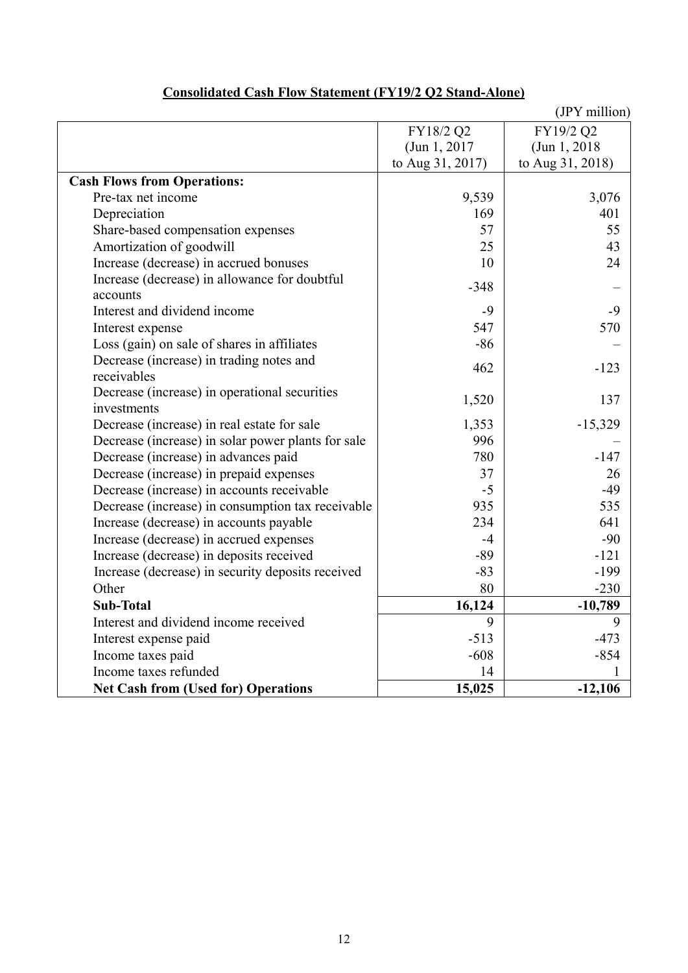|                                                    |                  | (JPY million)    |
|----------------------------------------------------|------------------|------------------|
|                                                    | FY18/2 Q2        | FY19/2 Q2        |
|                                                    | (Jun 1, 2017)    | (Jun 1, 2018)    |
|                                                    | to Aug 31, 2017) | to Aug 31, 2018) |
| <b>Cash Flows from Operations:</b>                 |                  |                  |
| Pre-tax net income                                 | 9,539            | 3,076            |
| Depreciation                                       | 169              | 401              |
| Share-based compensation expenses                  | 57               | 55               |
| Amortization of goodwill                           | 25               | 43               |
| Increase (decrease) in accrued bonuses             | 10               | 24               |
| Increase (decrease) in allowance for doubtful      | $-348$           |                  |
| accounts                                           |                  |                  |
| Interest and dividend income                       | $-9$             | $-9$             |
| Interest expense                                   | 547              | 570              |
| Loss (gain) on sale of shares in affiliates        | $-86$            |                  |
| Decrease (increase) in trading notes and           | 462              | $-123$           |
| receivables                                        |                  |                  |
| Decrease (increase) in operational securities      | 1,520            | 137              |
| investments                                        |                  |                  |
| Decrease (increase) in real estate for sale        | 1,353            | $-15,329$        |
| Decrease (increase) in solar power plants for sale | 996              |                  |
| Decrease (increase) in advances paid               | 780              | $-147$           |
| Decrease (increase) in prepaid expenses            | 37               | 26               |
| Decrease (increase) in accounts receivable         | $-5$             | $-49$            |
| Decrease (increase) in consumption tax receivable  | 935              | 535              |
| Increase (decrease) in accounts payable            | 234              | 641              |
| Increase (decrease) in accrued expenses            | $-4$             | $-90$            |
| Increase (decrease) in deposits received           | $-89$            | $-121$           |
| Increase (decrease) in security deposits received  | $-83$            | $-199$           |
| Other                                              | 80               | $-230$           |
| <b>Sub-Total</b>                                   | 16,124           | $-10,789$        |
| Interest and dividend income received              | 9                | 9                |
| Interest expense paid                              | $-513$           | $-473$           |
| Income taxes paid                                  | $-608$           | $-854$           |
| Income taxes refunded                              | 14               |                  |
| <b>Net Cash from (Used for) Operations</b>         | 15,025           | $-12,106$        |

# **Consolidated Cash Flow Statement (FY19/2 Q2 Stand-Alone)**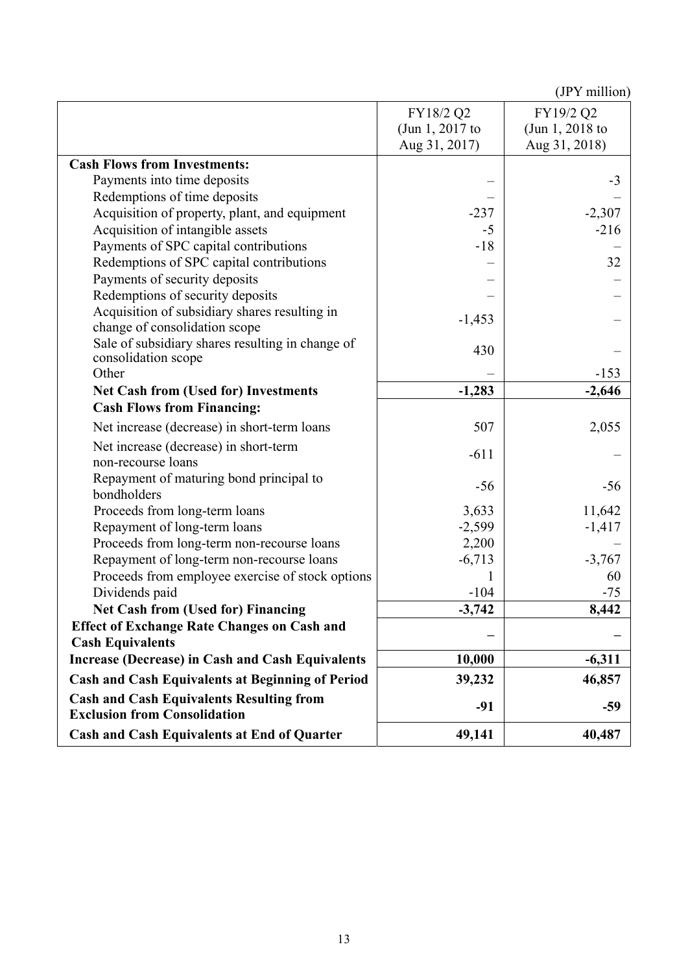|                                                                                        | FY18/2 Q2       | FY19/2 Q2       |
|----------------------------------------------------------------------------------------|-----------------|-----------------|
|                                                                                        | (Jun 1, 2017 to | (Jun 1, 2018 to |
|                                                                                        | Aug 31, 2017)   | Aug 31, 2018)   |
| <b>Cash Flows from Investments:</b>                                                    |                 |                 |
| Payments into time deposits                                                            |                 | $-3$            |
| Redemptions of time deposits                                                           |                 |                 |
| Acquisition of property, plant, and equipment                                          | $-237$          | $-2,307$        |
| Acquisition of intangible assets                                                       | $-5$            | $-216$          |
| Payments of SPC capital contributions                                                  | $-18$           |                 |
| Redemptions of SPC capital contributions                                               |                 | 32              |
| Payments of security deposits                                                          |                 |                 |
| Redemptions of security deposits                                                       |                 |                 |
| Acquisition of subsidiary shares resulting in<br>change of consolidation scope         | $-1,453$        |                 |
| Sale of subsidiary shares resulting in change of<br>consolidation scope                | 430             |                 |
| Other                                                                                  |                 | $-153$          |
| <b>Net Cash from (Used for) Investments</b>                                            | $-1,283$        | $-2,646$        |
| <b>Cash Flows from Financing:</b>                                                      |                 |                 |
| Net increase (decrease) in short-term loans                                            | 507             | 2,055           |
| Net increase (decrease) in short-term<br>non-recourse loans                            | $-611$          |                 |
| Repayment of maturing bond principal to<br>bondholders                                 | $-56$           | $-56$           |
| Proceeds from long-term loans                                                          | 3,633           | 11,642          |
| Repayment of long-term loans                                                           | $-2,599$        | $-1,417$        |
| Proceeds from long-term non-recourse loans                                             | 2,200           |                 |
| Repayment of long-term non-recourse loans                                              | $-6,713$        | $-3,767$        |
| Proceeds from employee exercise of stock options                                       |                 | 60              |
| Dividends paid                                                                         | $-104$          | $-75$           |
| <b>Net Cash from (Used for) Financing</b>                                              | $-3,742$        | 8,442           |
| <b>Effect of Exchange Rate Changes on Cash and</b>                                     |                 |                 |
| <b>Cash Equivalents</b>                                                                |                 |                 |
| <b>Increase (Decrease) in Cash and Cash Equivalents</b>                                | 10,000          | $-6,311$        |
| <b>Cash and Cash Equivalents at Beginning of Period</b>                                | 39,232          | 46,857          |
| <b>Cash and Cash Equivalents Resulting from</b><br><b>Exclusion from Consolidation</b> | $-91$           | $-59$           |
| <b>Cash and Cash Equivalents at End of Quarter</b>                                     | 49,141          | 40,487          |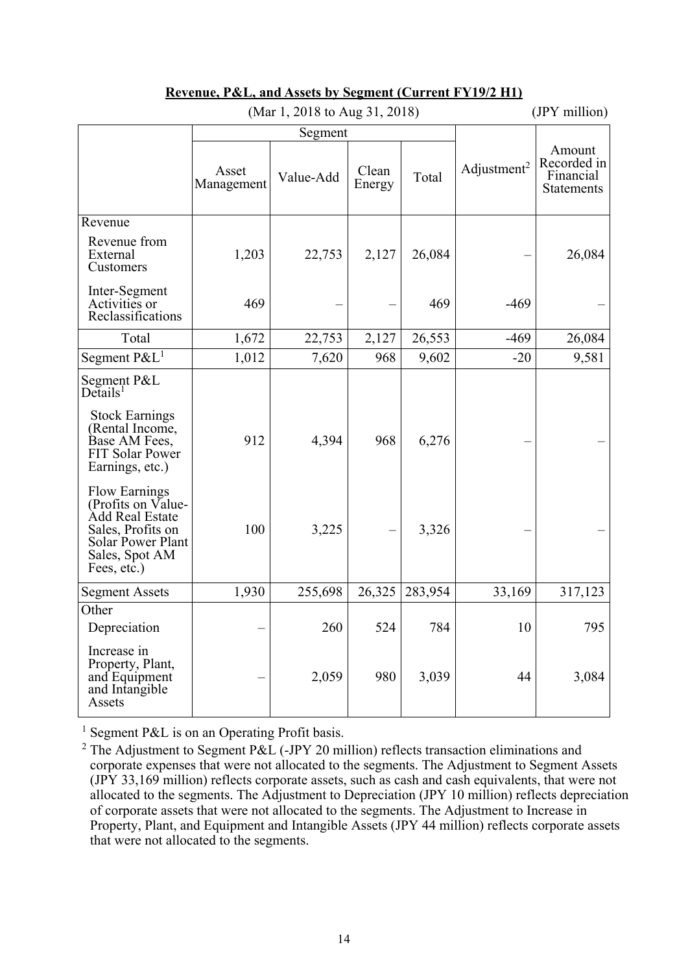|                                                                                                                                          | (Mar 1, 2018 to Aug 31, 2018) |           |                 |         |                         | (JPY million)                                    |
|------------------------------------------------------------------------------------------------------------------------------------------|-------------------------------|-----------|-----------------|---------|-------------------------|--------------------------------------------------|
|                                                                                                                                          |                               | Segment   |                 |         |                         |                                                  |
|                                                                                                                                          | Asset<br>Management           | Value-Add | Clean<br>Energy | Total   | Adjustment <sup>2</sup> | Amount<br>Recorded in<br>Financial<br>Statements |
| Revenue                                                                                                                                  |                               |           |                 |         |                         |                                                  |
| Revenue from<br>External<br>Customers                                                                                                    | 1,203                         | 22,753    | 2,127           | 26,084  |                         | 26,084                                           |
| Inter-Segment<br>Activities or<br>Reclassifications                                                                                      | 469                           |           |                 | 469     | $-469$                  |                                                  |
| Total                                                                                                                                    | 1,672                         | 22,753    | 2,127           | 26,553  | $-469$                  | 26,084                                           |
| Segment $P\&L^1$                                                                                                                         | 1,012                         | 7,620     | 968             | 9,602   | $-20$                   | 9,581                                            |
| Segment P&L<br>$De$ tails <sup>1</sup>                                                                                                   |                               |           |                 |         |                         |                                                  |
| <b>Stock Earnings</b><br>(Rental Income,<br>Base AM Fees,<br>FIT Solar Power<br>Earnings, etc.)                                          | 912                           | 4,394     | 968             | 6,276   |                         |                                                  |
| <b>Flow Earnings</b><br>(Profits on Value-<br>Add Real Estate<br>Sales, Profits on<br>Solar Power Plant<br>Sales, Spot AM<br>Fees, etc.) | 100                           | 3,225     |                 | 3,326   |                         |                                                  |
| <b>Segment Assets</b>                                                                                                                    | 1,930                         | 255,698   | 26,325          | 283,954 | 33,169                  | 317,123                                          |
| Other<br>Depreciation                                                                                                                    |                               | 260       | 524             | 784     | 10                      | 795                                              |
| Increase in<br>Property, Plant,<br>and Equipment<br>and Intangible<br>Assets                                                             |                               | 2,059     | 980             | 3,039   | 44                      | 3,084                                            |

## **Revenue, P&L, and Assets by Segment (Current FY19/2 H1)**

<sup>1</sup> Segment P&L is on an Operating Profit basis.

<sup>&</sup>lt;sup>2</sup> The Adjustment to Segment P&L (-JPY 20 million) reflects transaction eliminations and corporate expenses that were not allocated to the segments. The Adjustment to Segment Assets (JPY 33,169 million) reflects corporate assets, such as cash and cash equivalents, that were not allocated to the segments. The Adjustment to Depreciation (JPY 10 million) reflects depreciation of corporate assets that were not allocated to the segments. The Adjustment to Increase in Property, Plant, and Equipment and Intangible Assets (JPY 44 million) reflects corporate assets that were not allocated to the segments.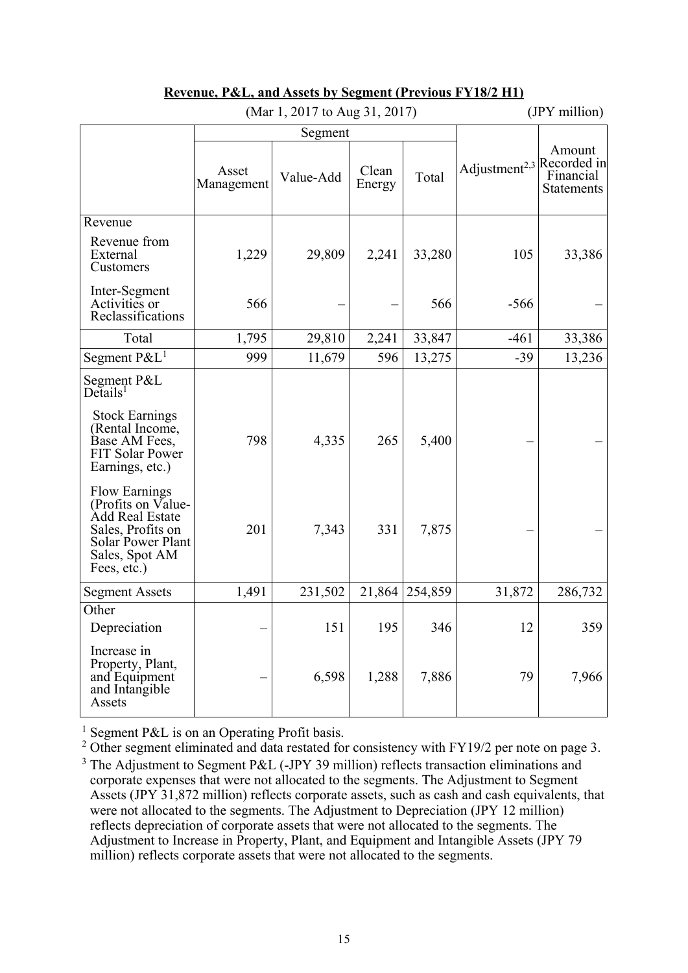| (Mai 1, 2017 to Aug 31, 2017)                                                                                                            |                     |           |                 |         | $(3rT1$ munique                       |                                          |
|------------------------------------------------------------------------------------------------------------------------------------------|---------------------|-----------|-----------------|---------|---------------------------------------|------------------------------------------|
|                                                                                                                                          | Segment             |           |                 |         |                                       |                                          |
|                                                                                                                                          | Asset<br>Management | Value-Add | Clean<br>Energy | Total   | Adjustment <sup>2,3</sup> Recorded in | Amount<br>Financial<br><b>Statements</b> |
| Revenue                                                                                                                                  |                     |           |                 |         |                                       |                                          |
| Revenue from<br>External<br>Customers                                                                                                    | 1,229               | 29,809    | 2,241           | 33,280  | 105                                   | 33,386                                   |
| Inter-Segment<br>Activities or<br>Reclassifications                                                                                      | 566                 |           |                 | 566     | $-566$                                |                                          |
| Total                                                                                                                                    | 1,795               | 29,810    | 2,241           | 33,847  | $-461$                                | 33,386                                   |
| Segment $P\&L^1$                                                                                                                         | 999                 | 11,679    | 596             | 13,275  | $-39$                                 | 13,236                                   |
| Segment P&L<br>Details <sup>1</sup><br><b>Stock Earnings</b>                                                                             |                     |           |                 |         |                                       |                                          |
| (Rental Income,<br>Base AM Fees,<br>FIT Solar Power<br>Earnings, etc.)                                                                   | 798                 | 4,335     | 265             | 5,400   |                                       |                                          |
| <b>Flow Earnings</b><br>(Profits on Value-<br>Add Real Estate<br>Sales, Profits on<br>Solar Power Plant<br>Sales, Spot AM<br>Fees, etc.) | 201                 | 7,343     | 331             | 7,875   |                                       |                                          |
| <b>Segment Assets</b>                                                                                                                    | 1,491               | 231,502   | 21,864          | 254,859 | 31,872                                | 286,732                                  |
| Other                                                                                                                                    |                     |           |                 |         |                                       |                                          |
| Depreciation                                                                                                                             |                     | 151       | 195             | 346     | 12                                    | 359                                      |
| Increase in<br>Property, Plant,<br>and Equipment<br>and Intangible<br>Assets                                                             |                     | 6,598     | 1,288           | 7,886   | 79                                    | 7,966                                    |

#### **Revenue, P&L, and Assets by Segment (Previous FY18/2 H1)**   $(M<sub>ar</sub> 1, 2017 to Aug 31, 2017)$  (JPV million)

<sup>1</sup> Segment P&L is on an Operating Profit basis.<br><sup>2</sup> Other segment eliminated and data restated for consistency with FY19/2 per note on page 3. <sup>3</sup> The Adjustment to Segment P&L (-JPY 39 million) reflects transaction eliminations and corporate expenses that were not allocated to the segments. The Adjustment to Segment Assets (JPY 31,872 million) reflects corporate assets, such as cash and cash equivalents, that were not allocated to the segments. The Adjustment to Depreciation (JPY 12 million) reflects depreciation of corporate assets that were not allocated to the segments. The Adjustment to Increase in Property, Plant, and Equipment and Intangible Assets (JPY 79 million) reflects corporate assets that were not allocated to the segments.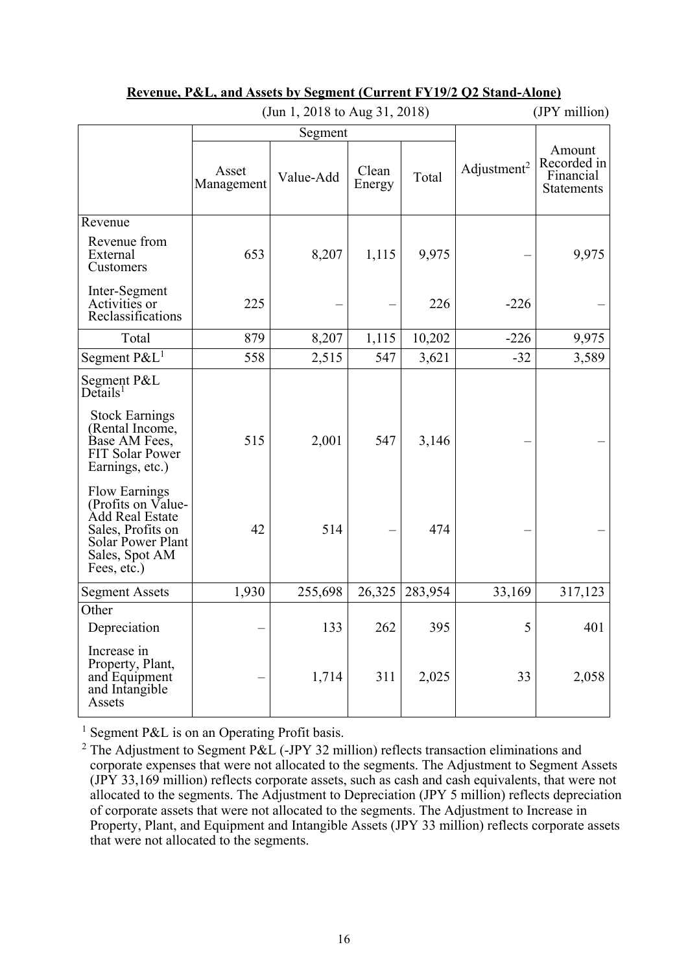|                                                                                                                                          |                     | (JUIL 1, 2010 to Aug 31, 2010) |                 |         |                         | (JF 1 ШШЮП)                                             |
|------------------------------------------------------------------------------------------------------------------------------------------|---------------------|--------------------------------|-----------------|---------|-------------------------|---------------------------------------------------------|
|                                                                                                                                          | Segment             |                                |                 |         |                         |                                                         |
|                                                                                                                                          | Asset<br>Management | Value-Add                      | Clean<br>Energy | Total   | Adjustment <sup>2</sup> | Amount<br>Recorded in<br>Financial<br><b>Statements</b> |
| Revenue                                                                                                                                  |                     |                                |                 |         |                         |                                                         |
| Revenue from<br>External<br>Customers                                                                                                    | 653                 | 8,207                          | 1,115           | 9,975   |                         | 9,975                                                   |
| Inter-Segment<br>Activities or<br>Reclassifications                                                                                      | 225                 |                                |                 | 226     | $-226$                  |                                                         |
| Total                                                                                                                                    | 879                 | 8,207                          | 1,115           | 10,202  | $-226$                  | 9,975                                                   |
| Segment $P\&L^1$                                                                                                                         | 558                 | 2,515                          | 547             | 3,621   | $-32$                   | 3,589                                                   |
| Segment P&L<br>Details <sup>1</sup>                                                                                                      |                     |                                |                 |         |                         |                                                         |
| <b>Stock Earnings</b><br>(Rental Income,<br>Base AM Fees,<br>FIT Solar Power<br>Earnings, etc.)                                          | 515                 | 2,001                          | 547             | 3,146   |                         |                                                         |
| <b>Flow Earnings</b><br>(Profits on Value-<br>Add Real Estate<br>Sales, Profits on<br>Solar Power Plant<br>Sales, Spot AM<br>Fees, etc.) | 42                  | 514                            |                 | 474     |                         |                                                         |
| <b>Segment Assets</b>                                                                                                                    | 1,930               | 255,698                        | 26,325          | 283,954 | 33,169                  | 317,123                                                 |
| Other                                                                                                                                    |                     |                                |                 |         |                         |                                                         |
| Depreciation                                                                                                                             |                     | 133                            | 262             | 395     | 5                       | 401                                                     |
| Increase in<br>Property, Plant,<br>and Equipment<br>and Intangible<br>Assets                                                             |                     | 1,714                          | 311             | 2,025   | 33                      | 2,058                                                   |

#### **Revenue, P&L, and Assets by Segment (Current FY19/2 Q2 Stand-Alone)**   $(\text{Im } 1, 2018 \text{ to } \text{Aug } 31, 2018)$  (IPY million)

<sup>1</sup> Segment P&L is on an Operating Profit basis.

<sup>&</sup>lt;sup>2</sup> The Adjustment to Segment P&L (-JPY 32 million) reflects transaction eliminations and corporate expenses that were not allocated to the segments. The Adjustment to Segment Assets (JPY 33,169 million) reflects corporate assets, such as cash and cash equivalents, that were not allocated to the segments. The Adjustment to Depreciation (JPY 5 million) reflects depreciation of corporate assets that were not allocated to the segments. The Adjustment to Increase in Property, Plant, and Equipment and Intangible Assets (JPY 33 million) reflects corporate assets that were not allocated to the segments.